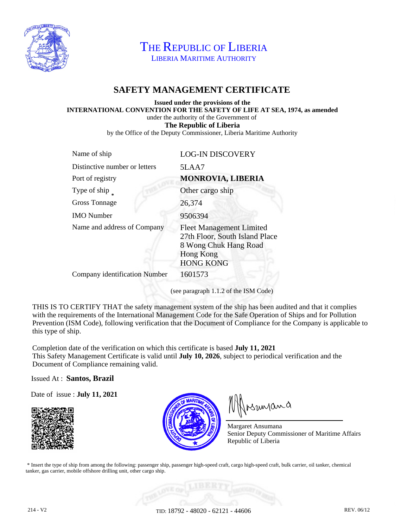

THE REPUBLIC OF LIBERIA LIBERIA MARITIME AUTHORITY

# **SAFETY MANAGEMENT CERTIFICATE**

#### **Issued under the provisions of the INTERNATIONAL CONVENTION FOR THE SAFETY OF LIFE AT SEA, 1974, as amended** under the authority of the Government of **The Republic of Liberia** by the Office of the Deputy Commissioner, Liberia Maritime Authority

| Distinctive number or letters<br>5LAA7                                                                                                                            |
|-------------------------------------------------------------------------------------------------------------------------------------------------------------------|
| <b>MONROVIA, LIBERIA</b><br>Port of registry                                                                                                                      |
| Type of ship<br>Other cargo ship                                                                                                                                  |
| 26,374<br><b>Gross Tonnage</b>                                                                                                                                    |
| 9506394<br><b>IMO</b> Number                                                                                                                                      |
| Name and address of Company<br><b>Fleet Management Limited</b><br>27th Floor, South Island Place<br>8 Wong Chuk Hang Road<br><b>Hong Kong</b><br><b>HONG KONG</b> |
| Company identification Number<br>1601573                                                                                                                          |

(see paragraph 1.1.2 of the ISM Code)

THIS IS TO CERTIFY THAT the safety management system of the ship has been audited and that it complies with the requirements of the International Management Code for the Safe Operation of Ships and for Pollution Prevention (ISM Code), following verification that the Document of Compliance for the Company is applicable to this type of ship.

Completion date of the verification on which this certificate is based **July 11, 2021** This Safety Management Certificate is valid until **July 10, 2026**, subject to periodical verification and the Document of Compliance remaining valid.

Issued At : **Santos, Brazil**

Date of issue : **July 11, 2021**





Insunana

Margaret Ansumana Senior Deputy Commissioner of Maritime Affairs Republic of Liberia

 \* Insert the type of ship from among the following: passenger ship, passenger high-speed craft, cargo high-speed craft, bulk carrier, oil tanker, chemical tanker, gas carrier, mobile offshore drilling unit, other cargo ship.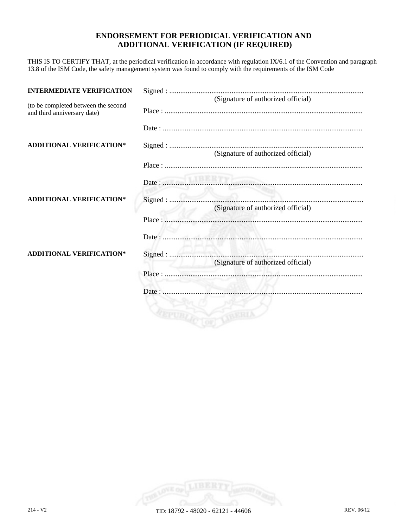### **ENDORSEMENT FOR PERIODICAL VERIFICATION AND ADDITIONAL VERIFICATION (IF REQUIRED)**

THIS IS TO CERTIFY THAT, at the periodical verification in accordance with regulation IX/6.1 of the Convention and paragraph 13.8 of the ISM Code, the safety management system was found to comply with the requirements of the ISM Code

| <b>INTERMEDIATE VERIFICATION</b>                                   |                                               |
|--------------------------------------------------------------------|-----------------------------------------------|
| (to be completed between the second<br>and third anniversary date) | (Signature of authorized official)            |
|                                                                    |                                               |
| <b>ADDITIONAL VERIFICATION*</b>                                    |                                               |
|                                                                    | (Signature of authorized official)            |
|                                                                    | Date:                                         |
| <b>ADDITIONAL VERIFICATION*</b>                                    | Signed:<br>(Signature of authorized official) |
|                                                                    |                                               |
|                                                                    |                                               |
| <b>ADDITIONAL VERIFICATION*</b>                                    | (Signature of authorized official)            |
|                                                                    |                                               |
|                                                                    |                                               |
|                                                                    |                                               |
|                                                                    |                                               |